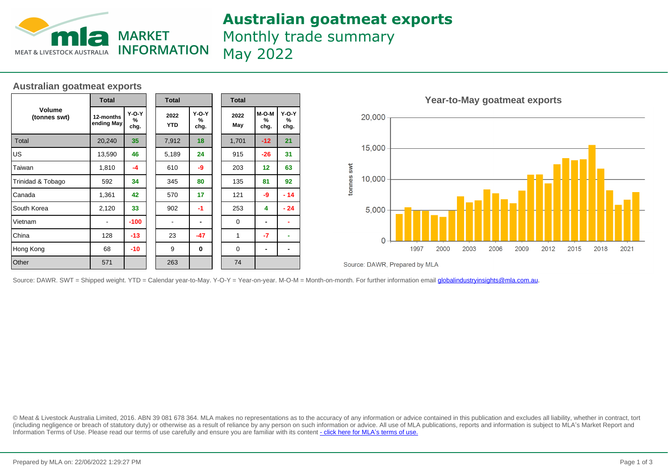

### **Australian goatmeat exports**

Monthly trade summary May 2022

#### **Australian goatmeat exports**

|                        | <b>Total</b>            |                      |  | <b>Total</b>       |                      |  | <b>Total</b> |                    |                      |  |
|------------------------|-------------------------|----------------------|--|--------------------|----------------------|--|--------------|--------------------|----------------------|--|
| Volume<br>(tonnes swt) | 12-months<br>ending May | $Y-O-Y$<br>%<br>chg. |  | 2022<br><b>YTD</b> | $Y-O-Y$<br>%<br>chg. |  | 2022<br>May  | M-O-M<br>%<br>chg. | $Y-O-Y$<br>%<br>chg. |  |
| Total                  | 20,240                  | 35                   |  | 7,912              | 18                   |  | 1,701        | $-12$              | 21                   |  |
| lus                    | 13,590                  | 46                   |  | 5,189              | 24                   |  | 915          | $-26$              | 31                   |  |
| Taiwan                 | 1,810                   | -4                   |  | 610                | -9                   |  | 203          | 12                 | 63                   |  |
| Trinidad & Tobago      | 592                     | 34                   |  | 345                | 80                   |  | 135          | 81                 | 92                   |  |
| Canada                 | 1,361                   | 42                   |  | 570                | 17                   |  | 121          | -9                 | $-14$                |  |
| South Korea            | 2,120<br>33             |                      |  | 902                | $-1$                 |  | 253          | 4                  | $-24$                |  |
| Vietnam                |                         | $-100$               |  |                    |                      |  | 0            |                    |                      |  |
| China                  | 128                     | $-13$                |  | 23                 | -47                  |  | 1            | -7                 |                      |  |
| Hong Kong              | 68<br>$-10$             |                      |  | 9                  | $\bf{0}$             |  | 0            | -                  |                      |  |
| Other                  | 571                     |                      |  | 263                |                      |  | 74           |                    |                      |  |



Source: DAWR, Prepared by MLA

Source: DAWR. SWT = Shipped weight. YTD = Calendar year-to-May. Y-O-Y = Year-on-year. M-O-M = Month-on-month. For further information email *globalindustryinsights@mla.com.au*.

© Meat & Livestock Australia Limited, 2016. ABN 39 081 678 364. MLA makes no representations as to the accuracy of any information or advice contained in this publication and excludes all liability, whether in contract, tort (including negligence or breach of statutory duty) or otherwise as a result of reliance by any person on such information or advice. All use of MLA publications, reports and information is subject to MLA's Market Report an Information Terms of Use. Please read our terms of use carefully and ensure you are familiar with its content [- click here for MLA](http://www.mla.com.au/files/edae0364-a185-4a6f-9dff-a42700d1463a/MLA-Market-Report-and-Information-Terms-of-use-Dec-2014.pdf)'[s terms of use.](http://www.mla.com.au/files/edae0364-a185-4a6f-9dff-a42700d1463a/MLA-Market-Report-and-Information-Terms-of-use-Dec-2014.pdf)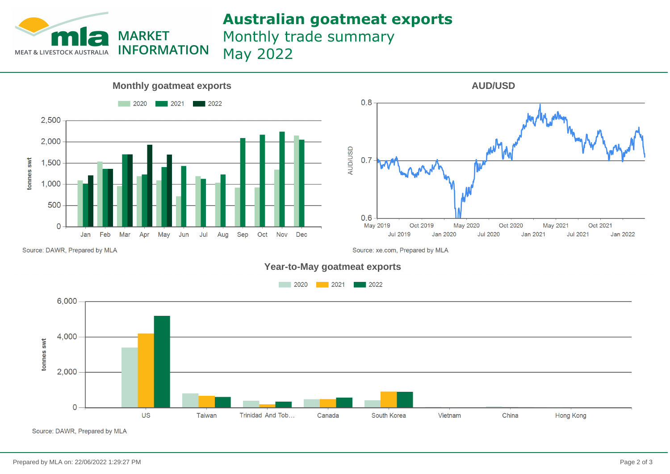

## **Australian goatmeat exports**

Monthly trade summary May 2022





Source: DAWR, Prepared by MLA

Source: xe.com, Prepared by MLA





Source: DAWR, Prepared by MLA